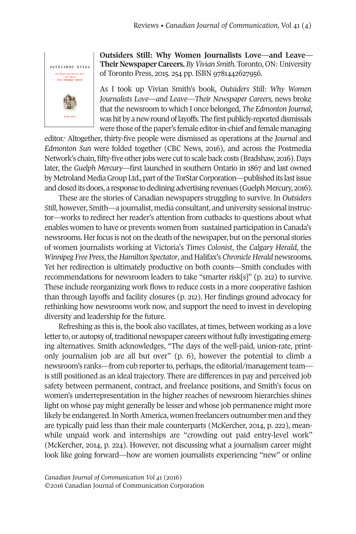

**Outsiders Still: Why Women Journalists Love—and Leave— Their Newspaper Careers.** By Vivian Smith. Toronto, ON: University of Toronto Press, 2015. 254 pp. ISBN 9781442627956.

As I took up Vivian Smith's book, *Outsiders Still: Why Women Journalists Love—and Leave—Their Newspaper Careers,* news broke that the newsroom to which I once belonged, *The Edmonton Journal*, was hit by a new round of layoffs. The first publicly-reported dismissals were those of the paper's female editor-in-chief and female managing

editor. <sup>1</sup> Altogether, thirty-five people were dismissed as operations at the *Journal* and *Edmonton Sun* were folded together (CBC News, 2016), and across the Postmedia Network's chain, fifty-five other jobs were cut to scale back costs (Bradshaw, 2016). Days later, the *Guelph Mercury*—first launched in southern Ontario in 1867 and last owned by Metroland Media Group Ltd., part of the TorStar Corporation—published its last issue and closed its doors, a response to declining advertising revenues (Guelph Mercury, 2016).

These are the stories of Canadian newspapers struggling to survive. In *Outsiders Still*, however, Smith—a journalist, media consultant, and university sessional instructor—works to redirect her reader's attention from cutbacks to questions about what enables women to have or prevents women from sustained participation in Canada's newsrooms. Her focus is not on the death of the newspaper, but on the personal stories of women journalists working at Victoria's *Times Colonist*, the *Calgary Herald*, the *Winnipeg Free Press*,the *Hamilton Spectator*, and Halifax's *Chronicle Herald* newsrooms. Yet her redirection is ultimately productive on both counts—Smith concludes with recommendations for newsroom leaders to take "smarter risk[s]" (p. 212) to survive. These include reorganizing work flows to reduce costs in a more cooperative fashion than through layoffs and facility closures (p. 212). Her findings ground advocacy for rethinking how newsrooms work now, and support the need to invest in developing diversity and leadership for the future.

Refreshing as this is, the book also vacillates, at times, between working as a love letter to, or autopsy of, traditional newspaper careers without fully investigating emerging alternatives. Smith acknowledges, "The days of the well-paid, union-rate, printonly journalism job are all but over" (p. 6), however the potential to climb a newsroom's ranks—from cub reporter to, perhaps, the editorial/management team is still positioned as an ideal trajectory. There are differences in pay and perceived job safety between permanent, contract, and freelance positions, and Smith's focus on women's underrepresentation in the higher reaches of newsroom hierarchies shines light on whose pay might generally be lesser and whose job permanence might more likely be endangered. In North America, women freelancers outnumber men and they are typically paid less than their male counterparts (McKercher, 2014, p. 222), meanwhile unpaid work and internships are "crowding out paid entry-level work" (McKercher, 2014, p. 224). However, not discussing what a journalism career might look like going forward—how are women journalists experiencing "new" or online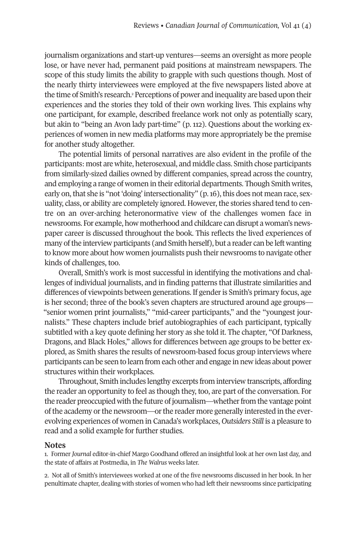journalism organizations and start-up ventures—seems an oversight as more people lose, or have never had, permanent paid positions at mainstream newspapers. The scope of this study limits the ability to grapple with such questions though. Most of the nearly thirty interviewees were employed at the five newspapers listed above at the time of Smith's research. <sup>2</sup> Perceptions of power and inequality are based upon their experiences and the stories they told of their own working lives. This explains why one participant, for example, described freelance work not only as potentially scary, but akin to "being an Avon lady part-time" (p. 112). Questions about the working experiences of women in new media platforms may more appropriately be the premise for another study altogether.

The potential limits of personal narratives are also evident in the profile of the participants: most are white, heterosexual, and middle class. Smith chose participants from similarly-sized dailies owned by different companies, spread across the country, and employing a range of women in their editorial departments. Though Smith writes, early on, that she is "not 'doing' intersectionality" (p. 16), this does not mean race, sexuality, class, or ability are completely ignored. However, the stories shared tend to centre on an over-arching heteronormative view of the challenges women face in newsrooms. For example, how motherhood and childcare can disrupt a woman's newspaper career is discussed throughout the book. This reflects the lived experiences of many of the interview participants (and Smith herself), but a reader can be left wanting to know more about how women journalists push their newsrooms to navigate other kinds of challenges, too.

Overall, Smith's work is most successful in identifying the motivations and challenges of individual journalists, and in finding patterns that illustrate similarities and differences of viewpoints between generations. If genderis Smith's primary focus, age is her second; three of the book's seven chapters are structured around age groups— "senior women print journalists," "mid-career participants," and the "youngest journalists." These chapters include brief autobiographies of each participant, typically subtitled with a key quote defining her story as she told it. The chapter, "Of Darkness, Dragons, and Black Holes," allows for differences between age groups to be better explored, as Smith shares the results of newsroom-based focus group interviews where participants can be seen to learn from each other and engage in new ideas about power structures within their workplaces.

Throughout, Smith includes lengthy excerpts from interview transcripts, affording the reader an opportunity to feel as though they, too, are part of the conversation. For the reader preoccupied with the future of journalism—whether from the vantage point ofthe academy orthe newsroom—orthe reader more generally interested in the everevolving experiences of women in Canada's workplaces, *Outsiders Still* is a pleasure to read and a solid example for further studies.

## **Notes**

1. Former *Journal* editor-in-chief Margo Goodhand offered an insightful look at her own last day, and the state of affairs at Postmedia, in *The Walrus* weeks later.

2. Not all of Smith's interviewees worked at one of the five newsrooms discussed in her book. In her penultimate chapter, dealing with stories of women who had left their newsrooms since participating